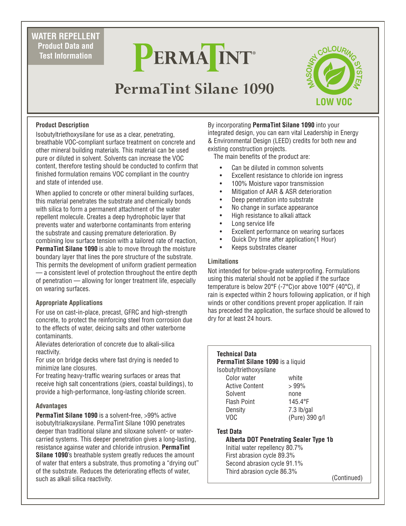**WATER REPELLENT Product Data and Test Information**

# PERMAINT

## **PermaTint Silane 1090**



#### **Product Description**

Isobutyltriethoxysilane for use as a clear, penetrating, breathable VOC-compliant surface treatment on concrete and other mineral building materials. This material can be used pure or diluted in solvent. Solvents can increase the VOC content, therefore testing should be conducted to confirm that finished formulation remains VOC compliant in the country and state of intended use.

When applied to concrete or other mineral building surfaces, this material penetrates the substrate and chemically bonds with silica to form a permanent attachment of the water repellent molecule. Creates a deep hydrophobic layer that prevents water and waterborne contaminants from entering the substrate and causing premature deterioration. By combining low surface tension with a tailored rate of reaction, **PermaTint Silane 1090** is able to move through the moisture boundary layer that lines the pore structure of the substrate. This permits the development of uniform gradient permeation — a consistent level of protection throughout the entire depth of penetration — allowing for longer treatment life, especially on wearing surfaces.

#### **Appropriate Applications**

For use on cast-in-place, precast, GFRC and high-strength concrete, to protect the reinforcing steel from corrosion due to the effects of water, deicing salts and other waterborne contaminants.

Alleviates deterioration of concrete due to alkali-silica reactivity.

For use on bridge decks where fast drying is needed to minimize lane closures.

For treating heavy-traffic wearing surfaces or areas that receive high salt concentrations (piers, coastal buildings), to provide a high-performance, long-lasting chloride screen.

#### **Advantages**

**PermaTint Silane 1090** is a solvent-free, >99% active isobutyltrialkoxysilane. PermaTint Silane 1090 penetrates deeper than traditional silane and siloxane solvent- or watercarried systems. This deeper penetration gives a long-lasting, resistance againse water and chloride intrusion. **PermaTint Silane 1090**'s breathable system greatly reduces the amount of water that enters a substrate, thus promoting a "drying out" of the substrate. Reduces the deteriorating effects of water, such as alkali silica reactivity.

By incorporating **PermaTint Silane 1090** into your integrated design, you can earn vital Leadership in Energy & Environmental Design (LEED) credits for both new and existing construction projects.

The main benefits of the product are:

- Can be diluted in common solvents
- Excellent resistance to chloride ion ingress
- 100% Moisture vapor transmission
- Mitigation of AAR & ASR deterioration
- Deep penetration into substrate
- No change in surface appearance
- High resistance to alkali attack
- Long service life
- Excellent performance on wearing surfaces
- Quick Dry time after application(1 Hour)
- Keeps substrates cleaner

#### **Limitations**

Not intended for below-grade waterproofing. Formulations using this material should not be applied if the surface temperature is below 20°F (-7°C)or above 100°F (40°C), if rain is expected within 2 hours following application, or if high winds or other conditions prevent proper application. If rain has preceded the application, the surface should be allowed to dry for at least 24 hours.

| Technical Data                           |                                        |
|------------------------------------------|----------------------------------------|
| <b>PermaTint Silane 1090</b> is a liquid |                                        |
| Isobutyltriethoxysilane                  |                                        |
| Color water                              | white                                  |
| Active Content                           | $>99\%$                                |
| Solvent                                  | none                                   |
| Flash Point                              | $145.4^{\circ}F$                       |
| Density                                  | $7.3$ lb/gal                           |
| VOC                                      | (Pure) 390 g/l                         |
| Test Data                                |                                        |
|                                          | Alberta DOT Penetrating Sealer Type 1b |
| Initial water repellency 80.7%           |                                        |
| First abrasion cycle 89.3%               |                                        |
| Second abrasion cycle 91.1%              |                                        |
| Third abrasion cycle 86.3%               |                                        |

(Continued)